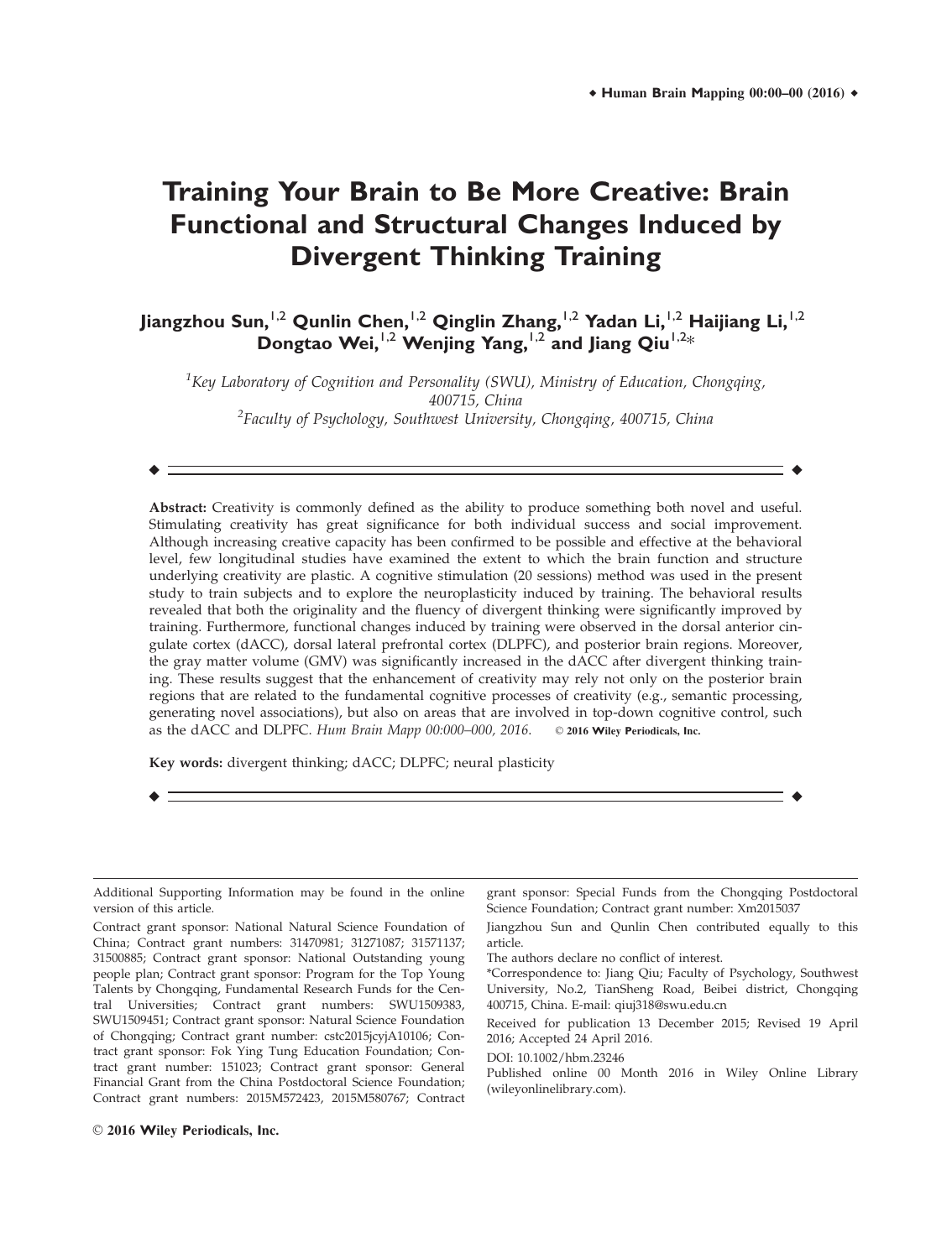# **Training Your Brain to Be More Creative: Brain Functional and Structural Changes Induced by Divergent Thinking Training**

**Jiangzhou Sun,**1,2 **Qunlin Chen,**1,2 **Qinglin Zhang,**1,2 **Yadan Li,**1,2 **Haijiang Li,**1,2 **Dongtao Wei,**1,2 **Wenjing Yang,**1,2 **and Jiang Qiu**1,2\*

 ${}^{1}$ Key Laboratory of Cognition and Personality (SWU), Ministry of Education, Chongqing, 400715, China  $^{2}$ Faculty of Psychology, Southwest University, Chongqing, 400715, China

r r

Abstract: Creativity is commonly defined as the ability to produce something both novel and useful. Stimulating creativity has great significance for both individual success and social improvement. Although increasing creative capacity has been confirmed to be possible and effective at the behavioral level, few longitudinal studies have examined the extent to which the brain function and structure underlying creativity are plastic. A cognitive stimulation (20 sessions) method was used in the present study to train subjects and to explore the neuroplasticity induced by training. The behavioral results revealed that both the originality and the fluency of divergent thinking were significantly improved by training. Furthermore, functional changes induced by training were observed in the dorsal anterior cingulate cortex (dACC), dorsal lateral prefrontal cortex (DLPFC), and posterior brain regions. Moreover, the gray matter volume (GMV) was significantly increased in the dACC after divergent thinking training. These results suggest that the enhancement of creativity may rely not only on the posterior brain regions that are related to the fundamental cognitive processes of creativity (e.g., semantic processing, generating novel associations), but also on areas that are involved in top-down cognitive control, such as the dACC and DLPFC. Hum Brain Mapp 00:000-000, 2016.  $\circ$  2016 Wiley Periodicals, Inc.

r r

Key words: divergent thinking; dACC; DLPFC; neural plasticity

Contract grant sponsor: National Natural Science Foundation of China; Contract grant numbers: 31470981; 31271087; 31571137; 31500885; Contract grant sponsor: National Outstanding young people plan; Contract grant sponsor: Program for the Top Young Talents by Chongqing, Fundamental Research Funds for the Central Universities; Contract grant numbers: SWU1509383, SWU1509451; Contract grant sponsor: Natural Science Foundation of Chongqing; Contract grant number: cstc2015jcyjA10106; Contract grant sponsor: Fok Ying Tung Education Foundation; Contract grant number: 151023; Contract grant sponsor: General Financial Grant from the China Postdoctoral Science Foundation; Contract grant numbers: 2015M572423, 2015M580767; Contract grant sponsor: Special Funds from the Chongqing Postdoctoral Science Foundation; Contract grant number: Xm2015037

Jiangzhou Sun and Qunlin Chen contributed equally to this article.

The authors declare no conflict of interest.

\*Correspondence to: Jiang Qiu; Faculty of Psychology, Southwest University, No.2, TianSheng Road, Beibei district, Chongqing 400715, China. E-mail: qiuj318@swu.edu.cn

Received for publication 13 December 2015; Revised 19 April 2016; Accepted 24 April 2016.

DOI: 10.1002/hbm.23246

Published online 00 Month 2016 in Wiley Online Library (wileyonlinelibrary.com).

 $\odot$  2016 Wiley Periodicals, Inc.

Additional Supporting Information may be found in the online version of this article.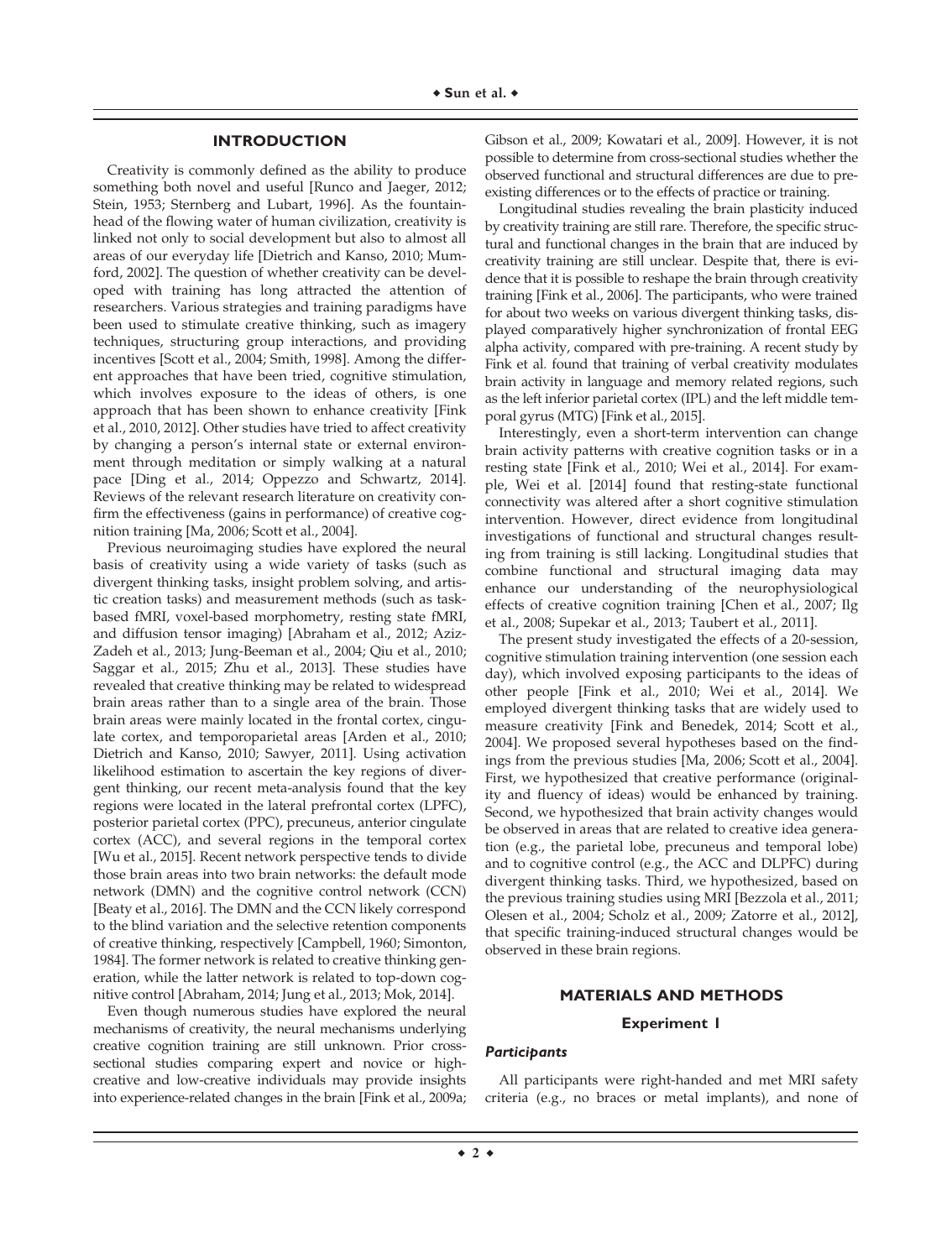#### **INTRODUCTION**

Creativity is commonly defined as the ability to produce something both novel and useful [Runco and Jaeger, 2012; Stein, 1953; Sternberg and Lubart, 1996]. As the fountainhead of the flowing water of human civilization, creativity is linked not only to social development but also to almost all areas of our everyday life [Dietrich and Kanso, 2010; Mumford, 2002]. The question of whether creativity can be developed with training has long attracted the attention of researchers. Various strategies and training paradigms have been used to stimulate creative thinking, such as imagery techniques, structuring group interactions, and providing incentives [Scott et al., 2004; Smith, 1998]. Among the different approaches that have been tried, cognitive stimulation, which involves exposure to the ideas of others, is one approach that has been shown to enhance creativity [Fink et al., 2010, 2012]. Other studies have tried to affect creativity by changing a person's internal state or external environment through meditation or simply walking at a natural pace [Ding et al., 2014; Oppezzo and Schwartz, 2014]. Reviews of the relevant research literature on creativity confirm the effectiveness (gains in performance) of creative cognition training [Ma, 2006; Scott et al., 2004].

Previous neuroimaging studies have explored the neural basis of creativity using a wide variety of tasks (such as divergent thinking tasks, insight problem solving, and artistic creation tasks) and measurement methods (such as taskbased fMRI, voxel-based morphometry, resting state fMRI, and diffusion tensor imaging) [Abraham et al., 2012; Aziz-Zadeh et al., 2013; Jung-Beeman et al., 2004; Qiu et al., 2010; Saggar et al., 2015; Zhu et al., 2013]. These studies have revealed that creative thinking may be related to widespread brain areas rather than to a single area of the brain. Those brain areas were mainly located in the frontal cortex, cingulate cortex, and temporoparietal areas [Arden et al., 2010; Dietrich and Kanso, 2010; Sawyer, 2011]. Using activation likelihood estimation to ascertain the key regions of divergent thinking, our recent meta-analysis found that the key regions were located in the lateral prefrontal cortex (LPFC), posterior parietal cortex (PPC), precuneus, anterior cingulate cortex (ACC), and several regions in the temporal cortex [Wu et al., 2015]. Recent network perspective tends to divide those brain areas into two brain networks: the default mode network (DMN) and the cognitive control network (CCN) [Beaty et al., 2016]. The DMN and the CCN likely correspond to the blind variation and the selective retention components of creative thinking, respectively [Campbell, 1960; Simonton, 1984]. The former network is related to creative thinking generation, while the latter network is related to top-down cognitive control [Abraham, 2014; Jung et al., 2013; Mok, 2014].

Even though numerous studies have explored the neural mechanisms of creativity, the neural mechanisms underlying creative cognition training are still unknown. Prior crosssectional studies comparing expert and novice or highcreative and low-creative individuals may provide insights into experience-related changes in the brain [Fink et al., 2009a;

Gibson et al., 2009; Kowatari et al., 2009]. However, it is not possible to determine from cross-sectional studies whether the observed functional and structural differences are due to preexisting differences or to the effects of practice or training.

Longitudinal studies revealing the brain plasticity induced by creativity training are still rare. Therefore, the specific structural and functional changes in the brain that are induced by creativity training are still unclear. Despite that, there is evidence that it is possible to reshape the brain through creativity training [Fink et al., 2006]. The participants, who were trained for about two weeks on various divergent thinking tasks, displayed comparatively higher synchronization of frontal EEG alpha activity, compared with pre-training. A recent study by Fink et al. found that training of verbal creativity modulates brain activity in language and memory related regions, such as the left inferior parietal cortex (IPL) and the left middle temporal gyrus (MTG) [Fink et al., 2015].

Interestingly, even a short-term intervention can change brain activity patterns with creative cognition tasks or in a resting state [Fink et al., 2010; Wei et al., 2014]. For example, Wei et al. [2014] found that resting-state functional connectivity was altered after a short cognitive stimulation intervention. However, direct evidence from longitudinal investigations of functional and structural changes resulting from training is still lacking. Longitudinal studies that combine functional and structural imaging data may enhance our understanding of the neurophysiological effects of creative cognition training [Chen et al., 2007; Ilg et al., 2008; Supekar et al., 2013; Taubert et al., 2011].

The present study investigated the effects of a 20-session, cognitive stimulation training intervention (one session each day), which involved exposing participants to the ideas of other people [Fink et al., 2010; Wei et al., 2014]. We employed divergent thinking tasks that are widely used to measure creativity [Fink and Benedek, 2014; Scott et al., 2004]. We proposed several hypotheses based on the findings from the previous studies [Ma, 2006; Scott et al., 2004]. First, we hypothesized that creative performance (originality and fluency of ideas) would be enhanced by training. Second, we hypothesized that brain activity changes would be observed in areas that are related to creative idea generation (e.g., the parietal lobe, precuneus and temporal lobe) and to cognitive control (e.g., the ACC and DLPFC) during divergent thinking tasks. Third, we hypothesized, based on the previous training studies using MRI [Bezzola et al., 2011; Olesen et al., 2004; Scholz et al., 2009; Zatorre et al., 2012], that specific training-induced structural changes would be observed in these brain regions.

# **MATERIALS AND METHODS**

# **Experiment 1**

#### **Participants**

All participants were right-handed and met MRI safety criteria (e.g., no braces or metal implants), and none of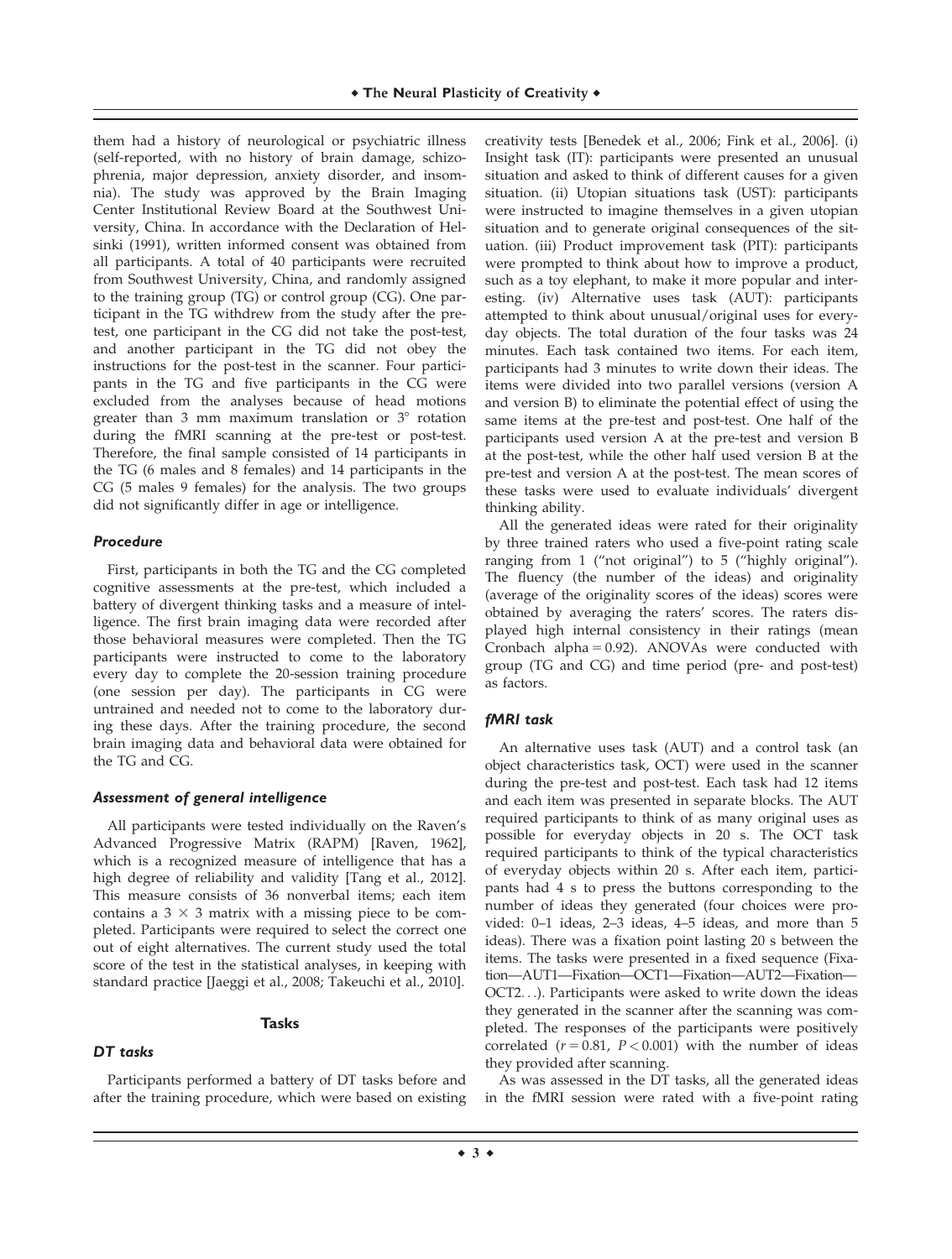them had a history of neurological or psychiatric illness (self-reported, with no history of brain damage, schizophrenia, major depression, anxiety disorder, and insomnia). The study was approved by the Brain Imaging Center Institutional Review Board at the Southwest University, China. In accordance with the Declaration of Helsinki (1991), written informed consent was obtained from all participants. A total of 40 participants were recruited from Southwest University, China, and randomly assigned to the training group (TG) or control group (CG). One participant in the TG withdrew from the study after the pretest, one participant in the CG did not take the post-test, and another participant in the TG did not obey the instructions for the post-test in the scanner. Four participants in the TG and five participants in the CG were excluded from the analyses because of head motions greater than 3 mm maximum translation or  $3^\circ$  rotation during the fMRI scanning at the pre-test or post-test. Therefore, the final sample consisted of 14 participants in the TG (6 males and 8 females) and 14 participants in the CG (5 males 9 females) for the analysis. The two groups did not significantly differ in age or intelligence.

# Procedure

First, participants in both the TG and the CG completed cognitive assessments at the pre-test, which included a battery of divergent thinking tasks and a measure of intelligence. The first brain imaging data were recorded after those behavioral measures were completed. Then the TG participants were instructed to come to the laboratory every day to complete the 20-session training procedure (one session per day). The participants in CG were untrained and needed not to come to the laboratory during these days. After the training procedure, the second brain imaging data and behavioral data were obtained for the TG and CG.

# Assessment of general intelligence

All participants were tested individually on the Raven's Advanced Progressive Matrix (RAPM) [Raven, 1962], which is a recognized measure of intelligence that has a high degree of reliability and validity [Tang et al., 2012]. This measure consists of 36 nonverbal items; each item contains a  $3 \times 3$  matrix with a missing piece to be completed. Participants were required to select the correct one out of eight alternatives. The current study used the total score of the test in the statistical analyses, in keeping with standard practice [Jaeggi et al., 2008; Takeuchi et al., 2010].

# **Tasks**

# DT tasks

Participants performed a battery of DT tasks before and after the training procedure, which were based on existing creativity tests [Benedek et al., 2006; Fink et al., 2006]. (i) Insight task (IT): participants were presented an unusual situation and asked to think of different causes for a given situation. (ii) Utopian situations task (UST): participants were instructed to imagine themselves in a given utopian situation and to generate original consequences of the situation. (iii) Product improvement task (PIT): participants were prompted to think about how to improve a product, such as a toy elephant, to make it more popular and interesting. (iv) Alternative uses task (AUT): participants attempted to think about unusual/original uses for everyday objects. The total duration of the four tasks was 24 minutes. Each task contained two items. For each item, participants had 3 minutes to write down their ideas. The items were divided into two parallel versions (version A and version B) to eliminate the potential effect of using the same items at the pre-test and post-test. One half of the participants used version A at the pre-test and version B at the post-test, while the other half used version B at the pre-test and version A at the post-test. The mean scores of these tasks were used to evaluate individuals' divergent thinking ability.

All the generated ideas were rated for their originality by three trained raters who used a five-point rating scale ranging from 1 ("not original") to 5 ("highly original"). The fluency (the number of the ideas) and originality (average of the originality scores of the ideas) scores were obtained by averaging the raters' scores. The raters displayed high internal consistency in their ratings (mean Cronbach alpha  $= 0.92$ ). ANOVAs were conducted with group (TG and CG) and time period (pre- and post-test) as factors.

# fMRI task

An alternative uses task (AUT) and a control task (an object characteristics task, OCT) were used in the scanner during the pre-test and post-test. Each task had 12 items and each item was presented in separate blocks. The AUT required participants to think of as many original uses as possible for everyday objects in 20 s. The OCT task required participants to think of the typical characteristics of everyday objects within 20 s. After each item, participants had 4 s to press the buttons corresponding to the number of ideas they generated (four choices were provided: 0–1 ideas, 2–3 ideas, 4–5 ideas, and more than 5 ideas). There was a fixation point lasting 20 s between the items. The tasks were presented in a fixed sequence (Fixation—AUT1—Fixation—OCT1—Fixation—AUT2—Fixation— OCT2...). Participants were asked to write down the ideas they generated in the scanner after the scanning was completed. The responses of the participants were positively correlated ( $r = 0.81$ ,  $P < 0.001$ ) with the number of ideas they provided after scanning.

As was assessed in the DT tasks, all the generated ideas in the fMRI session were rated with a five-point rating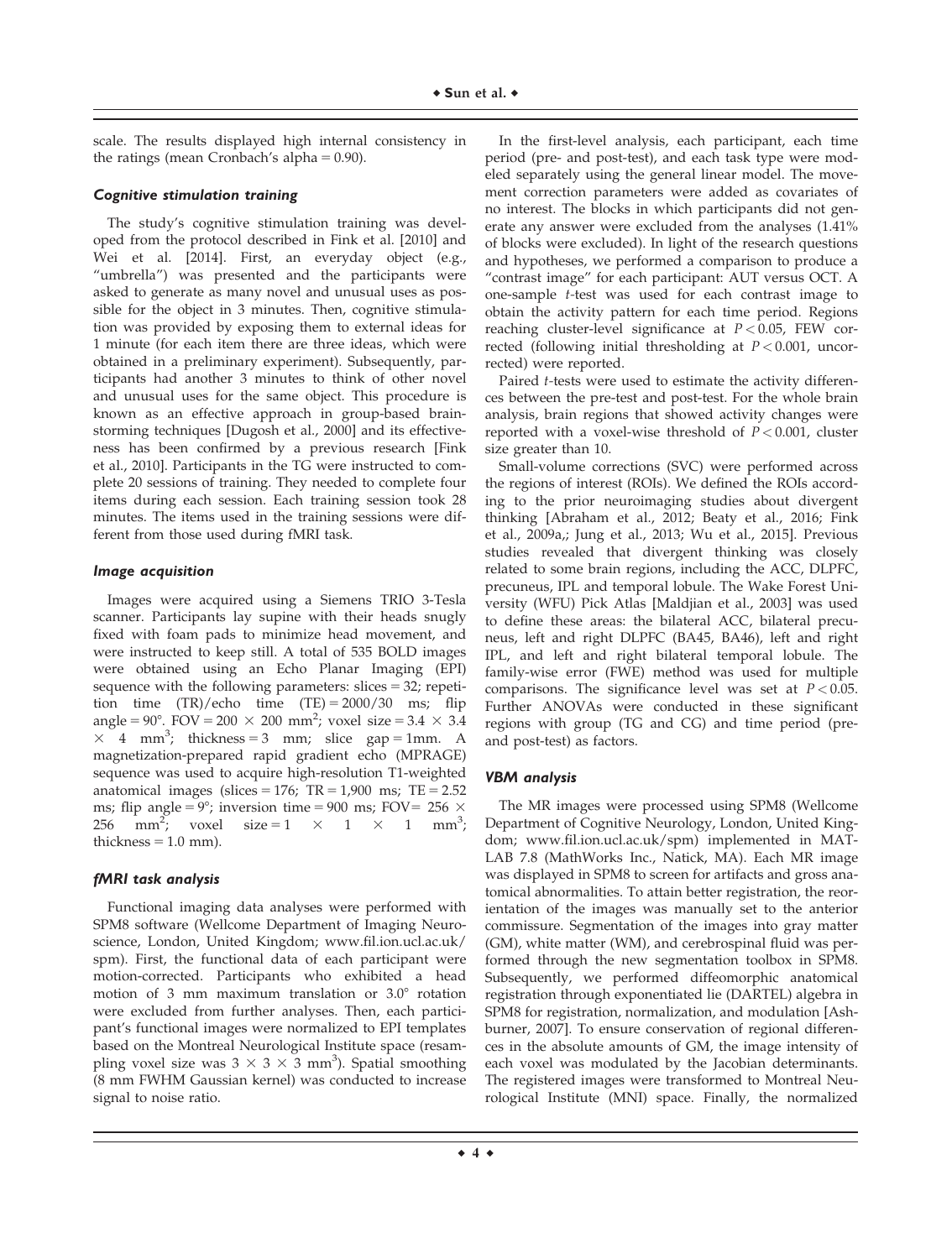scale. The results displayed high internal consistency in the ratings (mean Cronbach's alpha  $= 0.90$ ).

# Cognitive stimulation training

The study's cognitive stimulation training was developed from the protocol described in Fink et al. [2010] and Wei et al. [2014]. First, an everyday object (e.g., "umbrella") was presented and the participants were asked to generate as many novel and unusual uses as possible for the object in 3 minutes. Then, cognitive stimulation was provided by exposing them to external ideas for 1 minute (for each item there are three ideas, which were obtained in a preliminary experiment). Subsequently, participants had another 3 minutes to think of other novel and unusual uses for the same object. This procedure is known as an effective approach in group-based brainstorming techniques [Dugosh et al., 2000] and its effectiveness has been confirmed by a previous research [Fink et al., 2010]. Participants in the TG were instructed to complete 20 sessions of training. They needed to complete four items during each session. Each training session took 28 minutes. The items used in the training sessions were different from those used during fMRI task.

#### Image acquisition

Images were acquired using a Siemens TRIO 3-Tesla scanner. Participants lay supine with their heads snugly fixed with foam pads to minimize head movement, and were instructed to keep still. A total of 535 BOLD images were obtained using an Echo Planar Imaging (EPI) sequence with the following parameters:  $slices = 32$ ; repetition time  $(TR)/echo$  time  $(TE) = 2000/30$  ms; flip angle = 90°. FOV = 200  $\times$  200 mm<sup>2</sup>; voxel size = 3.4  $\times$  3.4  $\times$  4 mm<sup>3</sup>; thickness = 3 mm; slice gap = 1mm. A magnetization-prepared rapid gradient echo (MPRAGE) sequence was used to acquire high-resolution T1-weighted anatomical images (slices =  $176$ ; TR =  $1,900$  ms; TE =  $2.52$ ms; flip angle =  $9^{\circ}$ ; inversion time =  $900$  ms; FOV= 256  $\times$ 256 mm<sup>2</sup>; voxel size = 1  $\times$  1  $\times$  1 mm<sup>3</sup>; thickness  $= 1.0$  mm).

# fMRI task analysis

Functional imaging data analyses were performed with SPM8 software (Wellcome Department of Imaging Neuroscience, London, United Kingdom; [www.fil.ion.ucl.ac.uk/](http://www.fil.ion.ucl.ac.uk/spm) [spm](http://www.fil.ion.ucl.ac.uk/spm)). First, the functional data of each participant were motion-corrected. Participants who exhibited a head motion of 3 mm maximum translation or  $3.0^{\circ}$  rotation were excluded from further analyses. Then, each participant's functional images were normalized to EPI templates based on the Montreal Neurological Institute space (resampling voxel size was  $3 \times 3 \times 3$  mm<sup>3</sup>). Spatial smoothing (8 mm FWHM Gaussian kernel) was conducted to increase signal to noise ratio.

In the first-level analysis, each participant, each time period (pre- and post-test), and each task type were modeled separately using the general linear model. The movement correction parameters were added as covariates of no interest. The blocks in which participants did not generate any answer were excluded from the analyses (1.41% of blocks were excluded). In light of the research questions and hypotheses, we performed a comparison to produce a "contrast image" for each participant: AUT versus OCT. A one-sample t-test was used for each contrast image to obtain the activity pattern for each time period. Regions reaching cluster-level significance at  $P < 0.05$ , FEW corrected (following initial thresholding at  $P < 0.001$ , uncorrected) were reported.

Paired t-tests were used to estimate the activity differences between the pre-test and post-test. For the whole brain analysis, brain regions that showed activity changes were reported with a voxel-wise threshold of  $P < 0.001$ , cluster size greater than 10.

Small-volume corrections (SVC) were performed across the regions of interest (ROIs). We defined the ROIs according to the prior neuroimaging studies about divergent thinking [Abraham et al., 2012; Beaty et al., 2016; Fink et al., 2009a,; Jung et al., 2013; Wu et al., 2015]. Previous studies revealed that divergent thinking was closely related to some brain regions, including the ACC, DLPFC, precuneus, IPL and temporal lobule. The Wake Forest University (WFU) Pick Atlas [Maldjian et al., 2003] was used to define these areas: the bilateral ACC, bilateral precuneus, left and right DLPFC (BA45, BA46), left and right IPL, and left and right bilateral temporal lobule. The family-wise error (FWE) method was used for multiple comparisons. The significance level was set at  $P < 0.05$ . Further ANOVAs were conducted in these significant regions with group (TG and CG) and time period (preand post-test) as factors.

#### VBM analysis

The MR images were processed using SPM8 (Wellcome Department of Cognitive Neurology, London, United Kingdom; [www.fil.ion.ucl.ac.uk/spm\)](http://www.fil.ion.ucl.ac.uk/spm) implemented in MAT-LAB 7.8 (MathWorks Inc., Natick, MA). Each MR image was displayed in SPM8 to screen for artifacts and gross anatomical abnormalities. To attain better registration, the reorientation of the images was manually set to the anterior commissure. Segmentation of the images into gray matter (GM), white matter (WM), and cerebrospinal fluid was performed through the new segmentation toolbox in SPM8. Subsequently, we performed diffeomorphic anatomical registration through exponentiated lie (DARTEL) algebra in SPM8 for registration, normalization, and modulation [Ashburner, 2007]. To ensure conservation of regional differences in the absolute amounts of GM, the image intensity of each voxel was modulated by the Jacobian determinants. The registered images were transformed to Montreal Neurological Institute (MNI) space. Finally, the normalized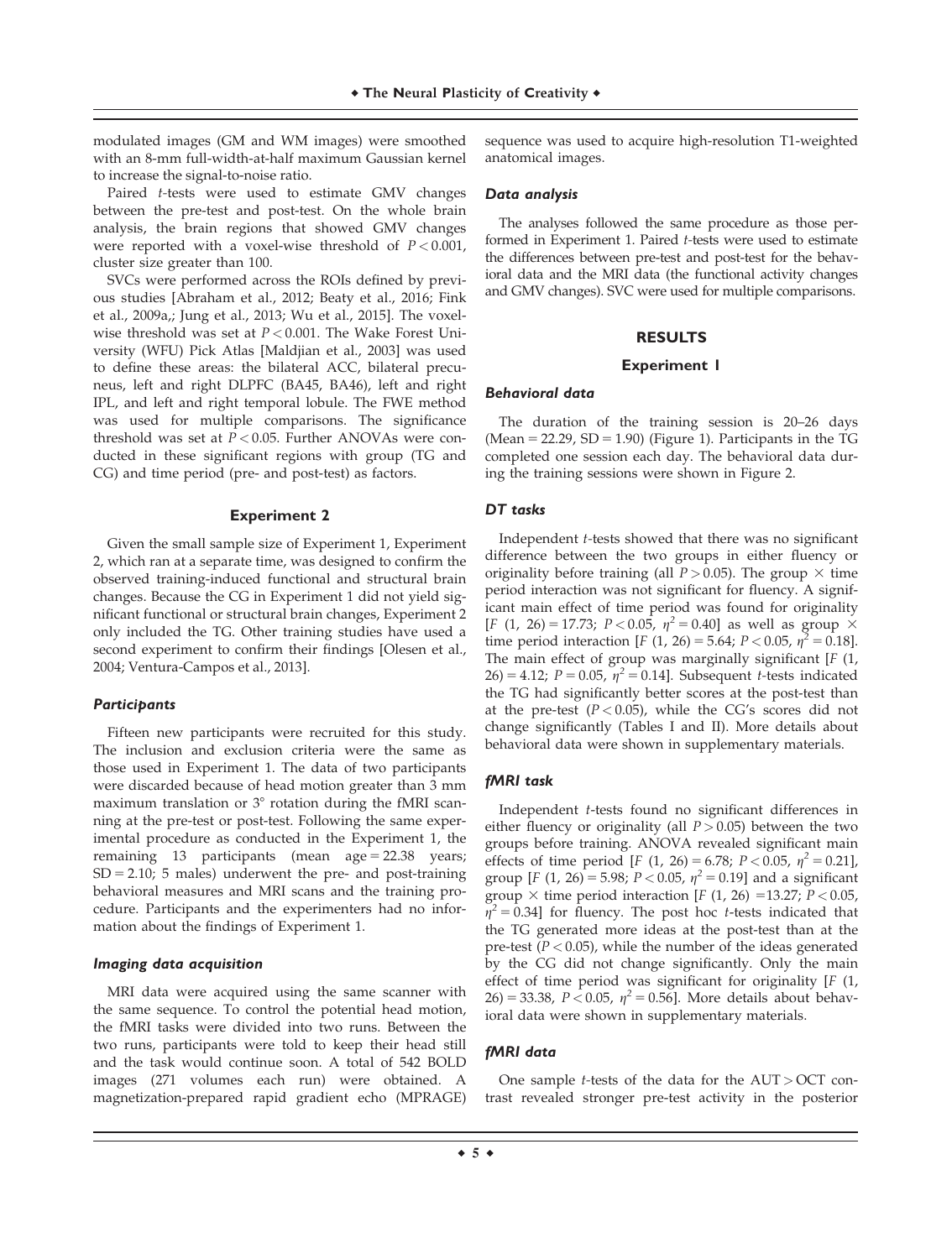modulated images (GM and WM images) were smoothed with an 8-mm full-width-at-half maximum Gaussian kernel to increase the signal-to-noise ratio.

Paired *t*-tests were used to estimate GMV changes between the pre-test and post-test. On the whole brain analysis, the brain regions that showed GMV changes were reported with a voxel-wise threshold of  $P < 0.001$ , cluster size greater than 100.

SVCs were performed across the ROIs defined by previous studies [Abraham et al., 2012; Beaty et al., 2016; Fink et al., 2009a,; Jung et al., 2013; Wu et al., 2015]. The voxelwise threshold was set at  $P < 0.001$ . The Wake Forest University (WFU) Pick Atlas [Maldjian et al., 2003] was used to define these areas: the bilateral ACC, bilateral precuneus, left and right DLPFC (BA45, BA46), left and right IPL, and left and right temporal lobule. The FWE method was used for multiple comparisons. The significance threshold was set at  $P < 0.05$ . Further ANOVAs were conducted in these significant regions with group (TG and CG) and time period (pre- and post-test) as factors.

#### **Experiment 2**

Given the small sample size of Experiment 1, Experiment 2, which ran at a separate time, was designed to confirm the observed training-induced functional and structural brain changes. Because the CG in Experiment 1 did not yield significant functional or structural brain changes, Experiment 2 only included the TG. Other training studies have used a second experiment to confirm their findings [Olesen et al., 2004; Ventura-Campos et al., 2013].

#### **Participants**

Fifteen new participants were recruited for this study. The inclusion and exclusion criteria were the same as those used in Experiment 1. The data of two participants were discarded because of head motion greater than 3 mm maximum translation or  $3^\circ$  rotation during the fMRI scanning at the pre-test or post-test. Following the same experimental procedure as conducted in the Experiment 1, the remaining 13 participants (mean  $age = 22.38$  years;  $SD = 2.10$ ; 5 males) underwent the pre- and post-training behavioral measures and MRI scans and the training procedure. Participants and the experimenters had no information about the findings of Experiment 1.

#### Imaging data acquisition

MRI data were acquired using the same scanner with the same sequence. To control the potential head motion, the fMRI tasks were divided into two runs. Between the two runs, participants were told to keep their head still and the task would continue soon. A total of 542 BOLD images (271 volumes each run) were obtained. A magnetization-prepared rapid gradient echo (MPRAGE)

sequence was used to acquire high-resolution T1-weighted anatomical images.

#### Data analysis

The analyses followed the same procedure as those performed in Experiment 1. Paired t-tests were used to estimate the differences between pre-test and post-test for the behavioral data and the MRI data (the functional activity changes and GMV changes). SVC were used for multiple comparisons.

#### **RESULTS**

# **Experiment 1**

#### Behavioral data

The duration of the training session is 20–26 days (Mean  $= 22.29$ , SD  $= 1.90$ ) (Figure 1). Participants in the TG completed one session each day. The behavioral data during the training sessions were shown in Figure 2.

# DT tasks

Independent t-tests showed that there was no significant difference between the two groups in either fluency or originality before training (all  $P > 0.05$ ). The group  $\times$  time period interaction was not significant for fluency. A significant main effect of time period was found for originality [F (1, 26) = 17.73; P < 0.05,  $\eta^2$  = 0.40] as well as group  $\times$ time period interaction [F (1, 26) = 5.64;  $P < 0.05$ ,  $\eta^2 = 0.18$ ]. The main effect of group was marginally significant [F (1,  $26$  = 4.12; P = 0.05,  $\eta^2$  = 0.14]. Subsequent t-tests indicated the TG had significantly better scores at the post-test than at the pre-test  $(P < 0.05)$ , while the CG's scores did not change significantly (Tables I and II). More details about behavioral data were shown in supplementary materials.

# fMRI task

Independent t-tests found no significant differences in either fluency or originality (all  $P > 0.05$ ) between the two groups before training. ANOVA revealed significant main effects of time period [F (1, 26) = 6.78; P < 0.05,  $\eta^2$  = 0.21], group [F (1, 26) = 5.98; P < 0.05,  $\eta^2$  = 0.19] and a significant group  $\times$  time period interaction [F (1, 26) = 13.27; P < 0.05,  $\eta^2$  = 0.34] for fluency. The post hoc *t*-tests indicated that the TG generated more ideas at the post-test than at the pre-test ( $P < 0.05$ ), while the number of the ideas generated by the CG did not change significantly. Only the main effect of time period was significant for originality  $[F(1,$ 26) = 33.38, P < 0.05,  $\eta^2$  = 0.56]. More details about behavioral data were shown in supplementary materials.

# fMRI data

One sample  $t$ -tests of the data for the  $AUT > OCT$  contrast revealed stronger pre-test activity in the posterior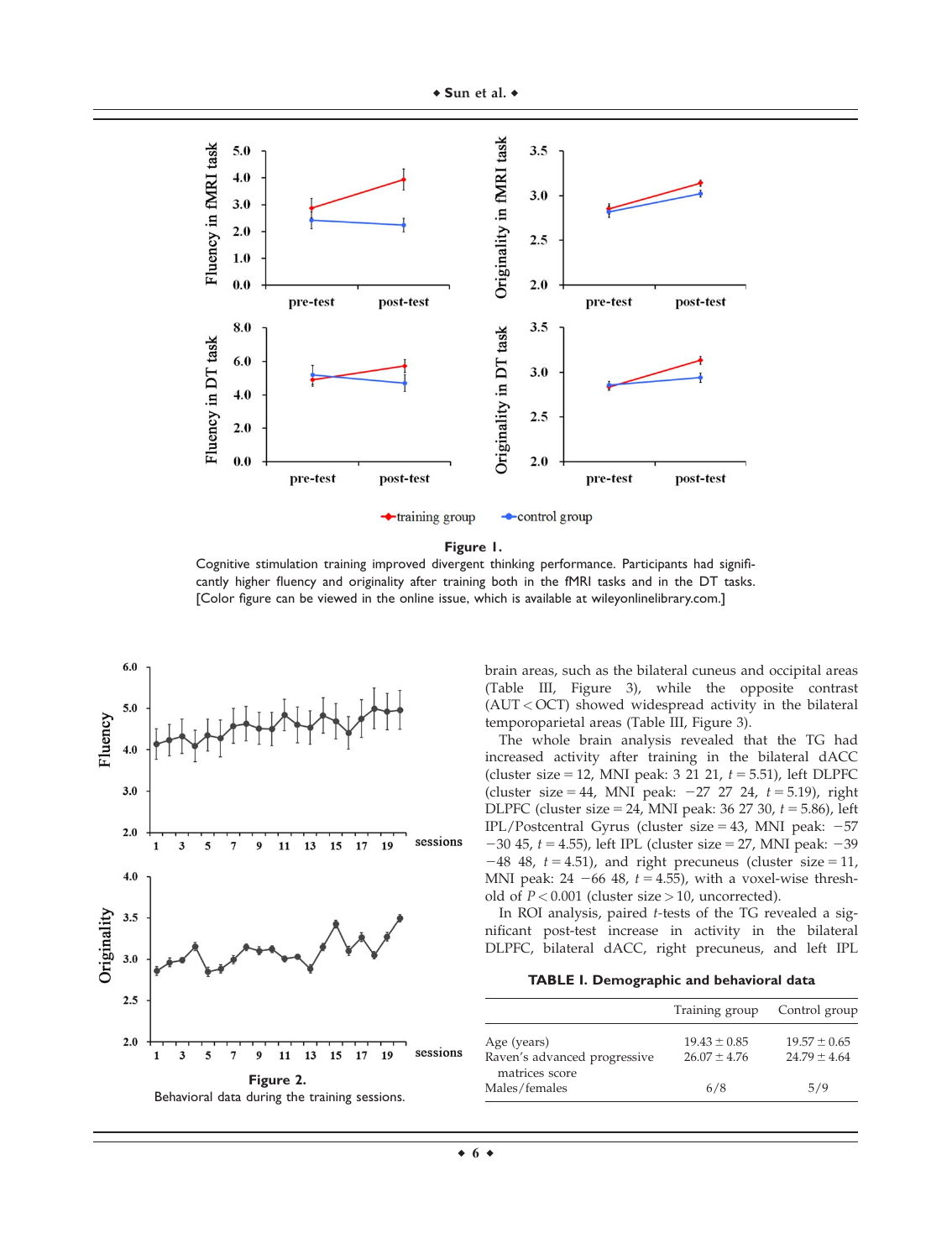

**Figure 1.**

Cognitive stimulation training improved divergent thinking performance. Participants had significantly higher fluency and originality after training both in the fMRI tasks and in the DT tasks. [Color figure can be viewed in the online issue, which is available at [wileyonlinelibrary.com.](http://wileyonlinelibrary.com)]



brain areas, such as the bilateral cuneus and occipital areas (Table III, Figure 3), while the opposite contrast (AUT < OCT) showed widespread activity in the bilateral temporoparietal areas (Table III, Figure 3).

The whole brain analysis revealed that the TG had increased activity after training in the bilateral dACC (cluster size = 12, MNI peak: 3 21 21,  $t = 5.51$ ), left DLPFC (cluster size = 44, MNI peak:  $-27$  27 24,  $t = 5.19$ ), right DLPFC (cluster size  $= 24$ , MNI peak: 36 27 30,  $t = 5.86$ ), left IPL/Postcentral Gyrus (cluster size  $=$  43, MNI peak:  $-57$  $-30$  45,  $t = 4.55$ ), left IPL (cluster size  $= 27$ , MNI peak:  $-39$  $-48$  48,  $t = 4.51$ ), and right precuneus (cluster size = 11, MNI peak: 24 -66 48,  $t = 4.55$ ), with a voxel-wise threshold of  $P < 0.001$  (cluster size  $> 10$ , uncorrected).

In ROI analysis, paired t-tests of the TG revealed a significant post-test increase in activity in the bilateral DLPFC, bilateral dACC, right precuneus, and left IPL

#### **TABLE I. Demographic and behavioral data**

|                                            |                                             | Training group                       | Control group                        |
|--------------------------------------------|---------------------------------------------|--------------------------------------|--------------------------------------|
| sessions<br>13 15 17<br>19<br>11           | Age (years)<br>Raven's advanced progressive | $19.43 \pm 0.85$<br>$26.07 \pm 4.76$ | $19.57 \pm 0.65$<br>$24.79 \pm 4.64$ |
| Figure 2.<br>during the training sessions. | matrices score<br>Males/females             | 6/8                                  | 5/9                                  |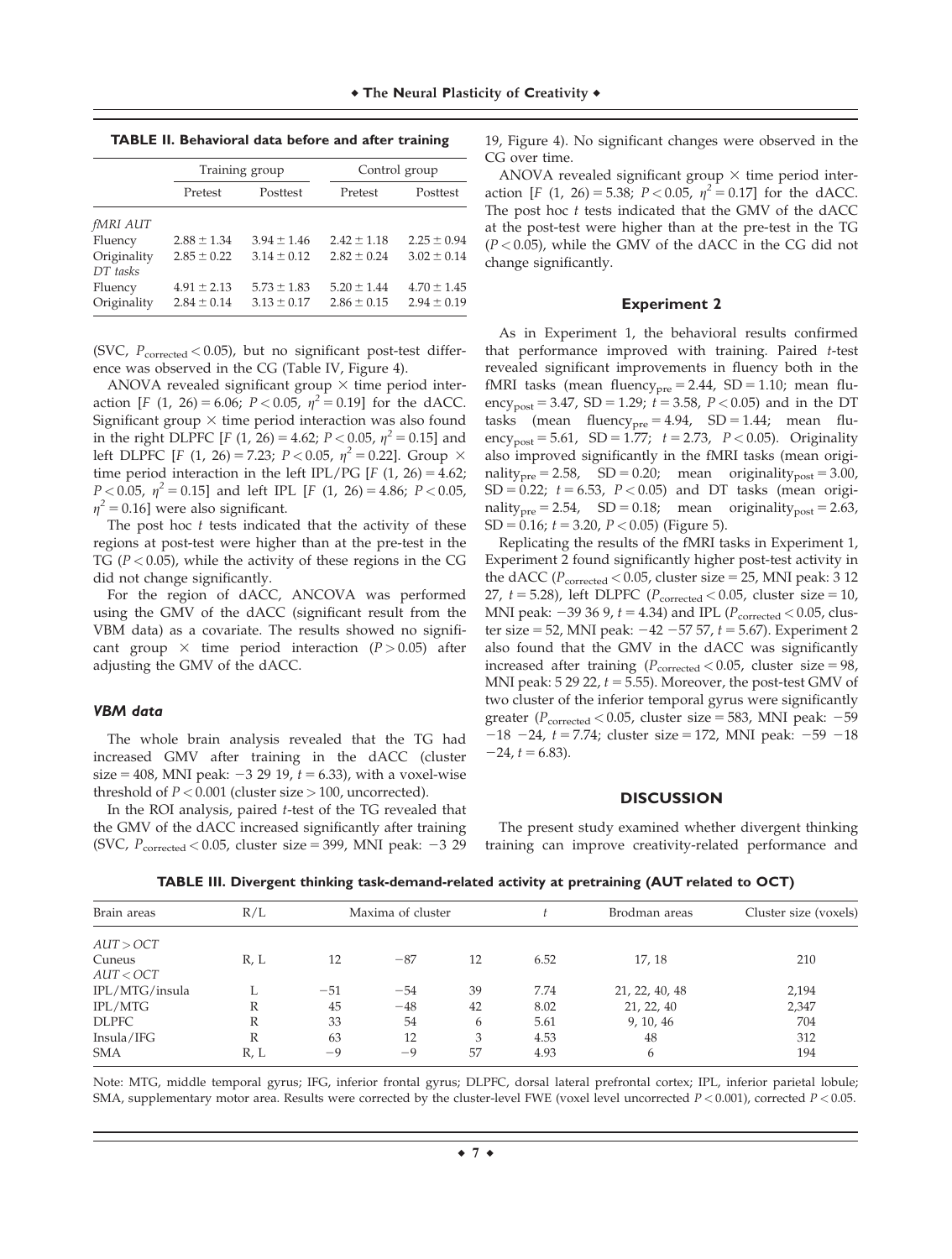**TABLE II. Behavioral data before and after training**

|                         |                                    | Training group                     |                                    | Control group                      |  |  |
|-------------------------|------------------------------------|------------------------------------|------------------------------------|------------------------------------|--|--|
|                         | Pretest                            | Posttest                           | Pretest                            | Posttest                           |  |  |
| fMRI AUT                |                                    |                                    |                                    |                                    |  |  |
| Fluency                 | $2.88 \pm 1.34$                    | $3.94 \pm 1.46$                    | $2.42 \pm 1.18$                    | $2.25 \pm 0.94$                    |  |  |
| Originality<br>DT tasks | $2.85 \pm 0.22$                    | $3.14 \pm 0.12$                    | $2.82 \pm 0.24$                    | $3.02 \pm 0.14$                    |  |  |
| Fluency<br>Originality  | $4.91 \pm 2.13$<br>$2.84 \pm 0.14$ | $5.73 \pm 1.83$<br>$3.13 \pm 0.17$ | $5.20 \pm 1.44$<br>$2.86 \pm 0.15$ | $4.70 \pm 1.45$<br>$2.94 \pm 0.19$ |  |  |

(SVC,  $P_{\text{corrected}}$  < 0.05), but no significant post-test difference was observed in the CG (Table IV, Figure 4).

ANOVA revealed significant group  $\times$  time period interaction [F (1, 26) = 6.06; P < 0.05,  $\eta^2$  = 0.19] for the dACC. Significant group  $\times$  time period interaction was also found in the right DLPFC [*F* (1, 26) = 4.62; *P* < 0.05,  $\eta^2$  = 0.15] and left DLPFC [F (1, 26) = 7.23;  $P < 0.05$ ,  $\eta^2 = 0.22$ ]. Group  $\times$ time period interaction in the left IPL/PG [F  $(1, 26) = 4.62$ ;  $P < 0.05$ ,  $\eta^2 = 0.15$ ] and left IPL [F (1, 26) = 4.86; P < 0.05,  $\eta^2$  = 0.16] were also significant.

The post hoc  $t$  tests indicated that the activity of these regions at post-test were higher than at the pre-test in the TG ( $P < 0.05$ ), while the activity of these regions in the CG did not change significantly.

For the region of dACC, ANCOVA was performed using the GMV of the dACC (significant result from the VBM data) as a covariate. The results showed no significant group  $\times$  time period interaction (P > 0.05) after adjusting the GMV of the dACC.

# VBM data

The whole brain analysis revealed that the TG had increased GMV after training in the dACC (cluster size = 408, MNI peak:  $-3$  29 19,  $t = 6.33$ ), with a voxel-wise threshold of  $P < 0.001$  (cluster size  $> 100$ , uncorrected).

In the ROI analysis, paired t-test of the TG revealed that the GMV of the dACC increased significantly after training (SVC,  $P_{\text{corrected}}$  < 0.05, cluster size = 399, MNI peak: -3 29 19, Figure 4). No significant changes were observed in the CG over time.

ANOVA revealed significant group  $\times$  time period interaction [F (1, 26) = 5.38; P < 0.05,  $\eta^2 = 0.17$ ] for the dACC. The post hoc  $t$  tests indicated that the GMV of the dACC at the post-test were higher than at the pre-test in the TG  $(P<0.05)$ , while the GMV of the dACC in the CG did not change significantly.

#### **Experiment 2**

As in Experiment 1, the behavioral results confirmed that performance improved with training. Paired t-test revealed significant improvements in fluency both in the fMRI tasks (mean fluency<sub>pre</sub> = 2.44, SD = 1.10; mean fluency<sub>post</sub> = 3.47, SD = 1.29;  $t = 3.58$ ,  $P < 0.05$ ) and in the DT tasks (mean fluency<sub>pre</sub> = 4.94, SD = 1.44; mean flu- $\text{ency}_{\text{post}} = 5.61, \text{ SD} = 1.77; t = 2.73, P < 0.05$ ). Originality also improved significantly in the fMRI tasks (mean originality<sub>pre</sub> = 2.58, SD = 0.20; mean originality<sub>post</sub> = 3.00,  $SD = 0.22$ ;  $t = 6.53$ ,  $P < 0.05$ ) and DT tasks (mean originality<sub>pre</sub> = 2.54, SD = 0.18; mean originality<sub>post</sub> = 2.63,  $SD = 0.16$ ;  $t = 3.20$ ,  $P < 0.05$ ) (Figure 5).

Replicating the results of the fMRI tasks in Experiment 1, Experiment 2 found significantly higher post-test activity in the dACC ( $P_{\text{corrected}}$  < 0.05, cluster size = 25, MNI peak: 3 12 27,  $t = 5.28$ ), left DLPFC ( $P_{\text{corrected}} < 0.05$ , cluster size = 10, MNI peak:  $-39\,36\,9$ ,  $t = 4.34$ ) and IPL ( $P_{\text{corrected}} < 0.05$ , cluster size = 52, MNI peak:  $-42 - 57 57$ ,  $t = 5.67$ ). Experiment 2 also found that the GMV in the dACC was significantly increased after training ( $P_{\text{corrected}} < 0.05$ , cluster size = 98, MNI peak:  $5 29 22$ ,  $t = 5.55$ ). Moreover, the post-test GMV of two cluster of the inferior temporal gyrus were significantly greater ( $P_{\text{corrected}}$  < 0.05, cluster size = 583, MNI peak: -59  $-18$   $-24$ ,  $t = 7.74$ ; cluster size = 172, MNI peak:  $-59$   $-18$  $-24$ ,  $t = 6.83$ ).

#### **DISCUSSION**

The present study examined whether divergent thinking training can improve creativity-related performance and

| TABLE III. Divergent thinking task-demand-related activity at pretraining (AUT related to OCT) |  |
|------------------------------------------------------------------------------------------------|--|
|------------------------------------------------------------------------------------------------|--|

| Brain areas         | R/L  | Maxima of cluster |       |    |      | Brodman areas  | Cluster size (voxels) |
|---------------------|------|-------------------|-------|----|------|----------------|-----------------------|
| AUT > OCT           |      |                   |       |    |      |                |                       |
| Cuneus<br>AUT < OCT | R, L | 12                | $-87$ | 12 | 6.52 | 17, 18         | 210                   |
| IPL/MTG/insula      |      | $-51$             | $-54$ | 39 | 7.74 | 21, 22, 40, 48 | 2,194                 |
| IPL/MTG             | R    | 45                | $-48$ | 42 | 8.02 | 21, 22, 40     | 2,347                 |
| <b>DLPFC</b>        | R    | 33                | 54    | 6  | 5.61 | 9, 10, 46      | 704                   |
| Insula/IFG          | R    | 63                | 12    | 3  | 4.53 | 48             | 312                   |
| <b>SMA</b>          | R, L | -9                | -9    | 57 | 4.93 | 6              | 194                   |

Note: MTG, middle temporal gyrus; IFG, inferior frontal gyrus; DLPFC, dorsal lateral prefrontal cortex; IPL, inferior parietal lobule; SMA, supplementary motor area. Results were corrected by the cluster-level FWE (voxel level uncorrected  $P < 0.001$ ), corrected  $P < 0.05$ .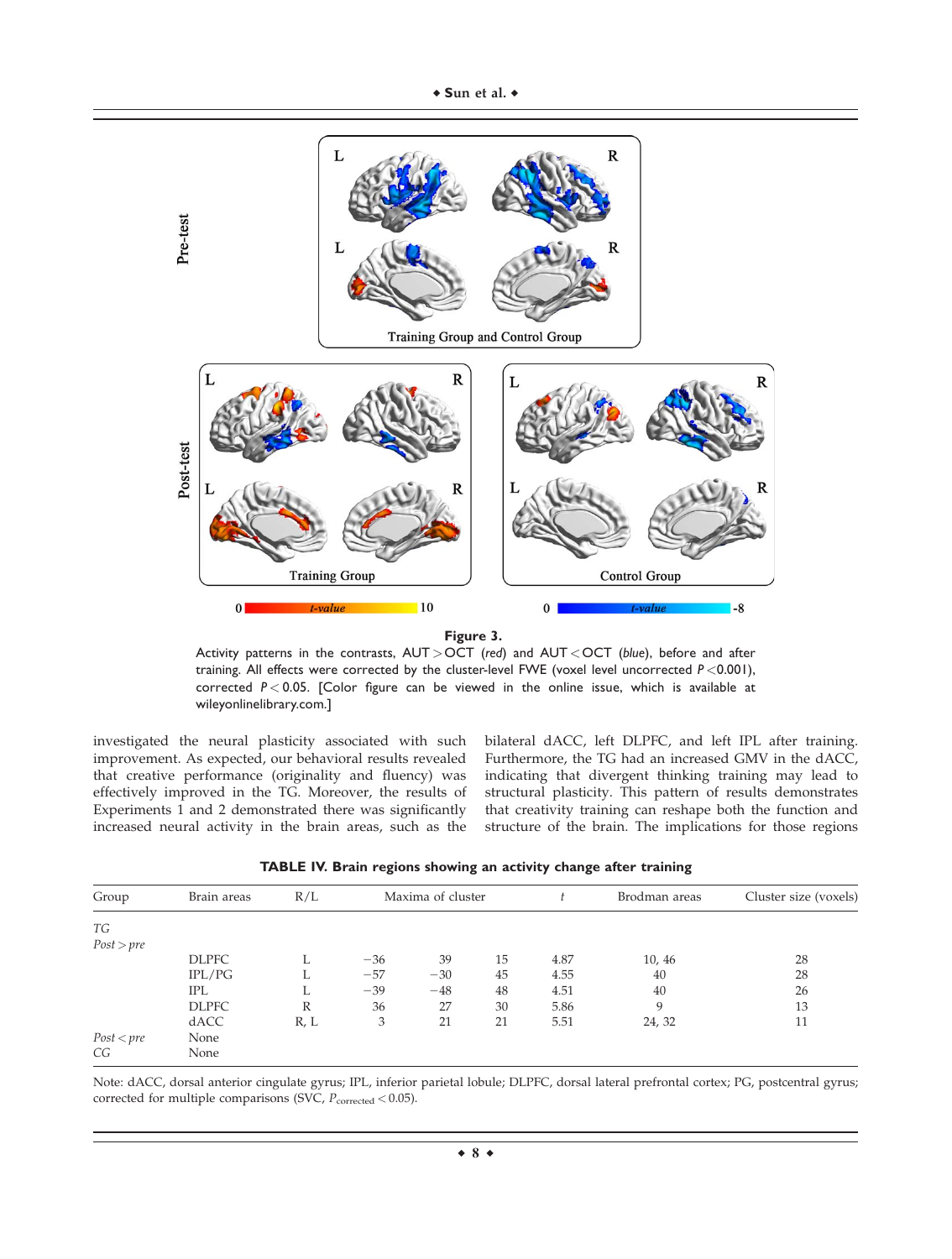

Activity patterns in the contrasts, AUT >OCT (*red*) and AUT <OCT (*blue*), before and after training. All effects were corrected by the cluster-level FWE (voxel level uncorrected *P* <0.001), corrected *P* < 0.05. [Color figure can be viewed in the online issue, which is available at [wileyonlinelibrary.com](http://wileyonlinelibrary.com).]

investigated the neural plasticity associated with such improvement. As expected, our behavioral results revealed that creative performance (originality and fluency) was effectively improved in the TG. Moreover, the results of Experiments 1 and 2 demonstrated there was significantly increased neural activity in the brain areas, such as the bilateral dACC, left DLPFC, and left IPL after training. Furthermore, the TG had an increased GMV in the dACC, indicating that divergent thinking training may lead to structural plasticity. This pattern of results demonstrates that creativity training can reshape both the function and structure of the brain. The implications for those regions

|  |  |  |  |  |  |  | TABLE IV. Brain regions showing an activity change after training |
|--|--|--|--|--|--|--|-------------------------------------------------------------------|
|--|--|--|--|--|--|--|-------------------------------------------------------------------|

| Group      | Brain areas  | R/L  | Maxima of cluster |       |    | Brodman areas | Cluster size (voxels) |    |
|------------|--------------|------|-------------------|-------|----|---------------|-----------------------|----|
| TG         |              |      |                   |       |    |               |                       |    |
| Post > pre |              |      |                   |       |    |               |                       |    |
|            | <b>DLPFC</b> | L    | $-36$             | 39    | 15 | 4.87          | 10, 46                | 28 |
|            | IPL/PG       | L    | $-57$             | $-30$ | 45 | 4.55          | 40                    | 28 |
|            | IPL          | L    | $-39$             | $-48$ | 48 | 4.51          | 40                    | 26 |
|            | <b>DLPFC</b> | R    | 36                | 27    | 30 | 5.86          | 9                     | 13 |
|            | dACC         | R, L | 3                 | 21    | 21 | 5.51          | 24, 32                | 11 |
| Post < pre | None         |      |                   |       |    |               |                       |    |
| CG         | None         |      |                   |       |    |               |                       |    |

Note: dACC, dorsal anterior cingulate gyrus; IPL, inferior parietal lobule; DLPFC, dorsal lateral prefrontal cortex; PG, postcentral gyrus; corrected for multiple comparisons (SVC,  $P_{\text{corrected}}$  < 0.05).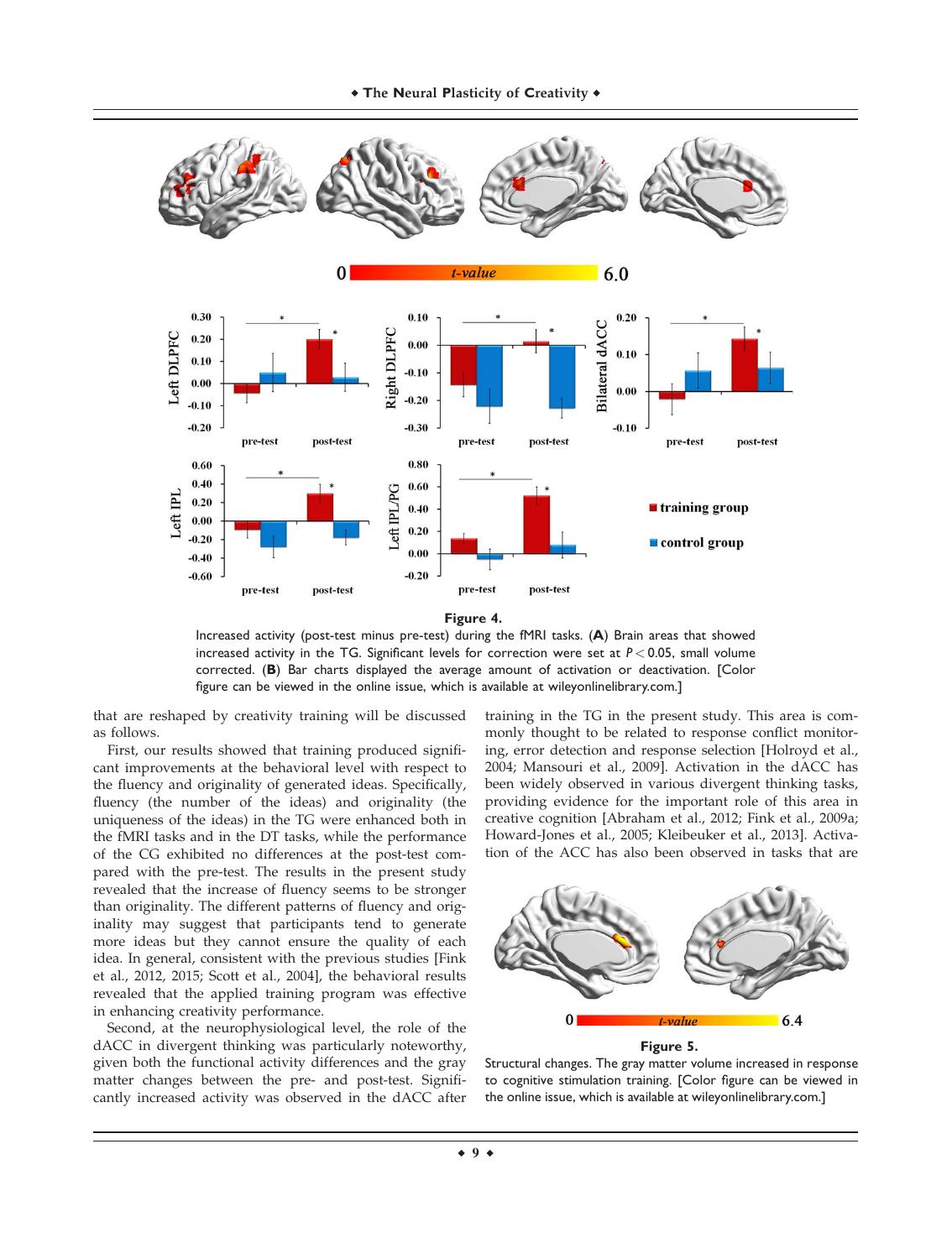

**Figure 4.**

Increased activity (post-test minus pre-test) during the fMRI tasks. (**A**) Brain areas that showed increased activity in the TG. Significant levels for correction were set at  $P < 0.05$ , small volume corrected. (**B**) Bar charts displayed the average amount of activation or deactivation. [Color figure can be viewed in the online issue, which is available at [wileyonlinelibrary.com.](http://wileyonlinelibrary.com)]

that are reshaped by creativity training will be discussed as follows.

First, our results showed that training produced significant improvements at the behavioral level with respect to the fluency and originality of generated ideas. Specifically, fluency (the number of the ideas) and originality (the uniqueness of the ideas) in the TG were enhanced both in the fMRI tasks and in the DT tasks, while the performance of the CG exhibited no differences at the post-test compared with the pre-test. The results in the present study revealed that the increase of fluency seems to be stronger than originality. The different patterns of fluency and originality may suggest that participants tend to generate more ideas but they cannot ensure the quality of each idea. In general, consistent with the previous studies [Fink et al., 2012, 2015; Scott et al., 2004], the behavioral results revealed that the applied training program was effective in enhancing creativity performance.

Second, at the neurophysiological level, the role of the dACC in divergent thinking was particularly noteworthy, given both the functional activity differences and the gray matter changes between the pre- and post-test. Significantly increased activity was observed in the dACC after training in the TG in the present study. This area is commonly thought to be related to response conflict monitoring, error detection and response selection [Holroyd et al., 2004; Mansouri et al., 2009]. Activation in the dACC has been widely observed in various divergent thinking tasks, providing evidence for the important role of this area in creative cognition [Abraham et al., 2012; Fink et al., 2009a; Howard-Jones et al., 2005; Kleibeuker et al., 2013]. Activation of the ACC has also been observed in tasks that are



Structural changes. The gray matter volume increased in response to cognitive stimulation training. [Color figure can be viewed in the online issue, which is available at [wileyonlinelibrary.com](http://wileyonlinelibrary.com).]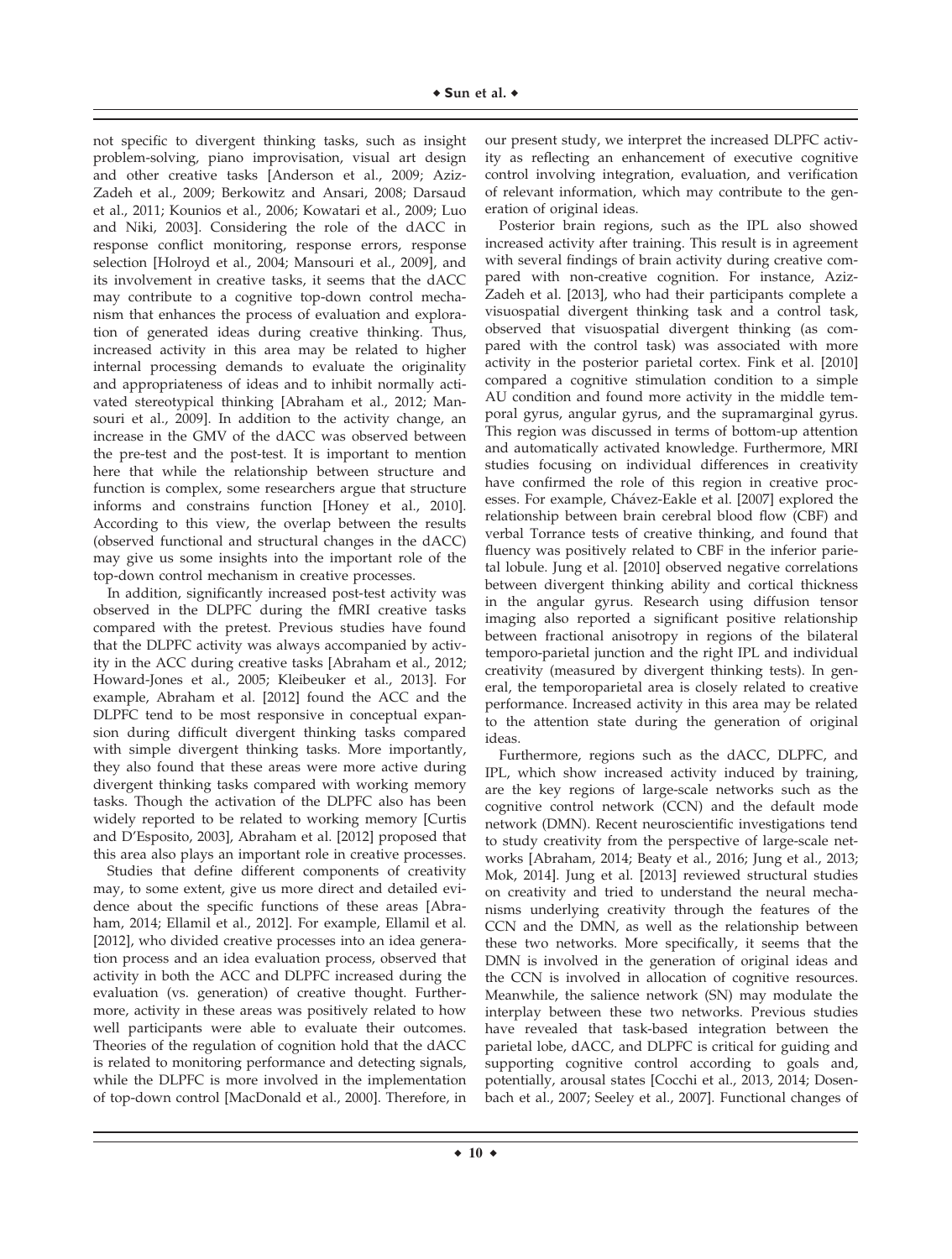not specific to divergent thinking tasks, such as insight problem-solving, piano improvisation, visual art design and other creative tasks [Anderson et al., 2009; Aziz-Zadeh et al., 2009; Berkowitz and Ansari, 2008; Darsaud et al., 2011; Kounios et al., 2006; Kowatari et al., 2009; Luo and Niki, 2003]. Considering the role of the dACC in response conflict monitoring, response errors, response selection [Holroyd et al., 2004; Mansouri et al., 2009], and its involvement in creative tasks, it seems that the dACC may contribute to a cognitive top-down control mechanism that enhances the process of evaluation and exploration of generated ideas during creative thinking. Thus, increased activity in this area may be related to higher internal processing demands to evaluate the originality and appropriateness of ideas and to inhibit normally activated stereotypical thinking [Abraham et al., 2012; Mansouri et al., 2009]. In addition to the activity change, an increase in the GMV of the dACC was observed between the pre-test and the post-test. It is important to mention here that while the relationship between structure and function is complex, some researchers argue that structure informs and constrains function [Honey et al., 2010]. According to this view, the overlap between the results (observed functional and structural changes in the dACC) may give us some insights into the important role of the top-down control mechanism in creative processes.

In addition, significantly increased post-test activity was observed in the DLPFC during the fMRI creative tasks compared with the pretest. Previous studies have found that the DLPFC activity was always accompanied by activity in the ACC during creative tasks [Abraham et al., 2012; Howard-Jones et al., 2005; Kleibeuker et al., 2013]. For example, Abraham et al. [2012] found the ACC and the DLPFC tend to be most responsive in conceptual expansion during difficult divergent thinking tasks compared with simple divergent thinking tasks. More importantly, they also found that these areas were more active during divergent thinking tasks compared with working memory tasks. Though the activation of the DLPFC also has been widely reported to be related to working memory [Curtis and D'Esposito, 2003], Abraham et al. [2012] proposed that this area also plays an important role in creative processes.

Studies that define different components of creativity may, to some extent, give us more direct and detailed evidence about the specific functions of these areas [Abraham, 2014; Ellamil et al., 2012]. For example, Ellamil et al. [2012], who divided creative processes into an idea generation process and an idea evaluation process, observed that activity in both the ACC and DLPFC increased during the evaluation (vs. generation) of creative thought. Furthermore, activity in these areas was positively related to how well participants were able to evaluate their outcomes. Theories of the regulation of cognition hold that the dACC is related to monitoring performance and detecting signals, while the DLPFC is more involved in the implementation of top-down control [MacDonald et al., 2000]. Therefore, in our present study, we interpret the increased DLPFC activity as reflecting an enhancement of executive cognitive control involving integration, evaluation, and verification of relevant information, which may contribute to the generation of original ideas.

Posterior brain regions, such as the IPL also showed increased activity after training. This result is in agreement with several findings of brain activity during creative compared with non-creative cognition. For instance, Aziz-Zadeh et al. [2013], who had their participants complete a visuospatial divergent thinking task and a control task, observed that visuospatial divergent thinking (as compared with the control task) was associated with more activity in the posterior parietal cortex. Fink et al. [2010] compared a cognitive stimulation condition to a simple AU condition and found more activity in the middle temporal gyrus, angular gyrus, and the supramarginal gyrus. This region was discussed in terms of bottom-up attention and automatically activated knowledge. Furthermore, MRI studies focusing on individual differences in creativity have confirmed the role of this region in creative processes. For example, Chávez-Eakle et al. [2007] explored the relationship between brain cerebral blood flow (CBF) and verbal Torrance tests of creative thinking, and found that fluency was positively related to CBF in the inferior parietal lobule. Jung et al. [2010] observed negative correlations between divergent thinking ability and cortical thickness in the angular gyrus. Research using diffusion tensor imaging also reported a significant positive relationship between fractional anisotropy in regions of the bilateral temporo-parietal junction and the right IPL and individual creativity (measured by divergent thinking tests). In general, the temporoparietal area is closely related to creative performance. Increased activity in this area may be related to the attention state during the generation of original ideas.

Furthermore, regions such as the dACC, DLPFC, and IPL, which show increased activity induced by training, are the key regions of large-scale networks such as the cognitive control network (CCN) and the default mode network (DMN). Recent neuroscientific investigations tend to study creativity from the perspective of large-scale networks [Abraham, 2014; Beaty et al., 2016; Jung et al., 2013; Mok, 2014]. Jung et al. [2013] reviewed structural studies on creativity and tried to understand the neural mechanisms underlying creativity through the features of the CCN and the DMN, as well as the relationship between these two networks. More specifically, it seems that the DMN is involved in the generation of original ideas and the CCN is involved in allocation of cognitive resources. Meanwhile, the salience network (SN) may modulate the interplay between these two networks. Previous studies have revealed that task-based integration between the parietal lobe, dACC, and DLPFC is critical for guiding and supporting cognitive control according to goals and, potentially, arousal states [Cocchi et al., 2013, 2014; Dosenbach et al., 2007; Seeley et al., 2007]. Functional changes of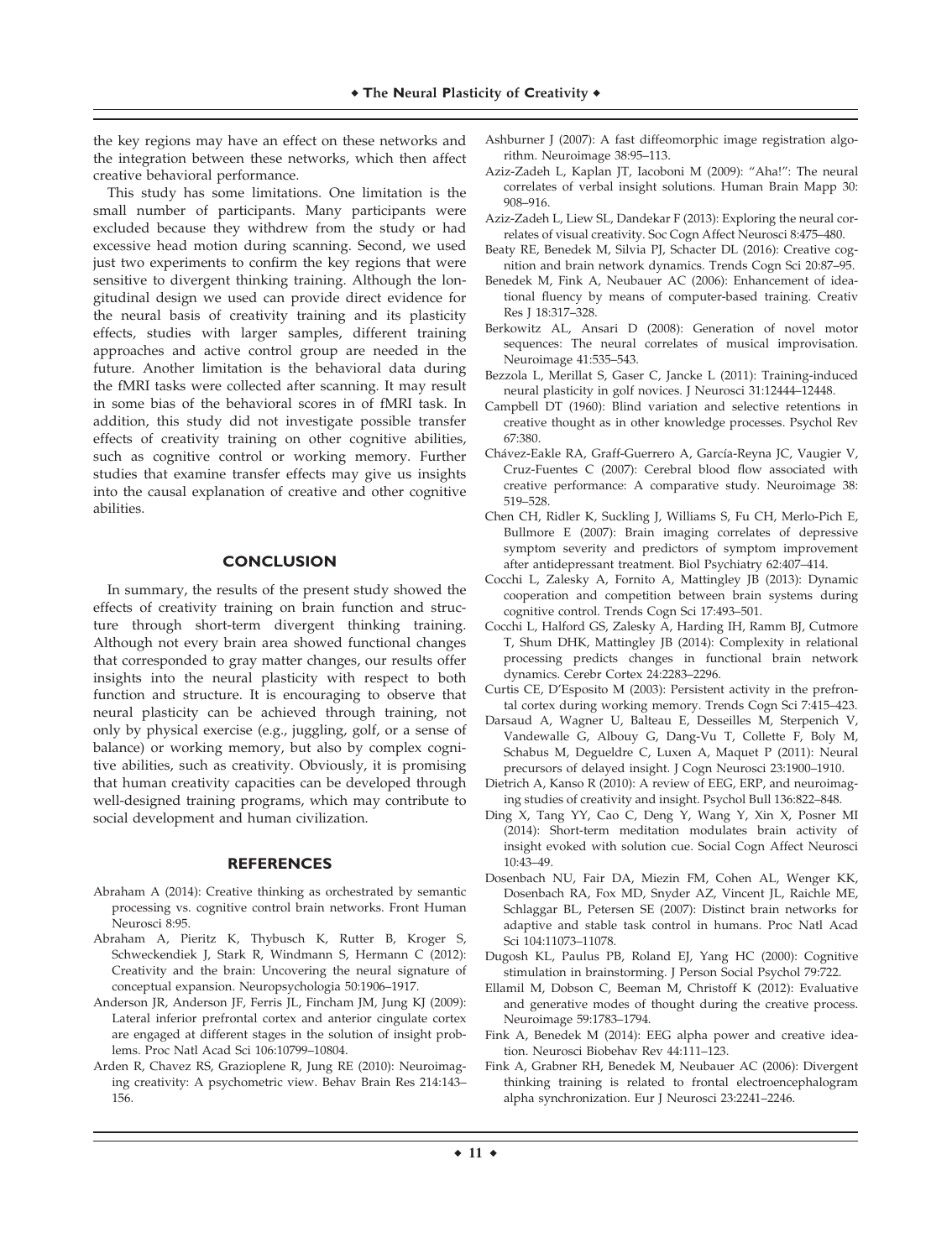the key regions may have an effect on these networks and the integration between these networks, which then affect creative behavioral performance.

This study has some limitations. One limitation is the small number of participants. Many participants were excluded because they withdrew from the study or had excessive head motion during scanning. Second, we used just two experiments to confirm the key regions that were sensitive to divergent thinking training. Although the longitudinal design we used can provide direct evidence for the neural basis of creativity training and its plasticity effects, studies with larger samples, different training approaches and active control group are needed in the future. Another limitation is the behavioral data during the fMRI tasks were collected after scanning. It may result in some bias of the behavioral scores in of fMRI task. In addition, this study did not investigate possible transfer effects of creativity training on other cognitive abilities, such as cognitive control or working memory. Further studies that examine transfer effects may give us insights into the causal explanation of creative and other cognitive abilities.

# **CONCLUSION**

In summary, the results of the present study showed the effects of creativity training on brain function and structure through short-term divergent thinking training. Although not every brain area showed functional changes that corresponded to gray matter changes, our results offer insights into the neural plasticity with respect to both function and structure. It is encouraging to observe that neural plasticity can be achieved through training, not only by physical exercise (e.g., juggling, golf, or a sense of balance) or working memory, but also by complex cognitive abilities, such as creativity. Obviously, it is promising that human creativity capacities can be developed through well-designed training programs, which may contribute to social development and human civilization.

#### **REFERENCES**

- Abraham A (2014): Creative thinking as orchestrated by semantic processing vs. cognitive control brain networks. Front Human Neurosci 8:95.
- Abraham A, Pieritz K, Thybusch K, Rutter B, Kroger S, Schweckendiek J, Stark R, Windmann S, Hermann C (2012): Creativity and the brain: Uncovering the neural signature of conceptual expansion. Neuropsychologia 50:1906–1917.
- Anderson JR, Anderson JF, Ferris JL, Fincham JM, Jung KJ (2009): Lateral inferior prefrontal cortex and anterior cingulate cortex are engaged at different stages in the solution of insight problems. Proc Natl Acad Sci 106:10799–10804.
- Arden R, Chavez RS, Grazioplene R, Jung RE (2010): Neuroimaging creativity: A psychometric view. Behav Brain Res 214:143– 156.
- Ashburner J (2007): A fast diffeomorphic image registration algorithm. Neuroimage 38:95–113.
- Aziz-Zadeh L, Kaplan JT, Iacoboni M (2009): "Aha!": The neural correlates of verbal insight solutions. Human Brain Mapp 30: 908–916.
- Aziz-Zadeh L, Liew SL, Dandekar F (2013): Exploring the neural correlates of visual creativity. Soc Cogn Affect Neurosci 8:475–480.
- Beaty RE, Benedek M, Silvia PJ, Schacter DL (2016): Creative cognition and brain network dynamics. Trends Cogn Sci 20:87–95.
- Benedek M, Fink A, Neubauer AC (2006): Enhancement of ideational fluency by means of computer-based training. Creativ Res J 18:317–328.
- Berkowitz AL, Ansari D (2008): Generation of novel motor sequences: The neural correlates of musical improvisation. Neuroimage 41:535–543.
- Bezzola L, Merillat S, Gaser C, Jancke L (2011): Training-induced neural plasticity in golf novices. J Neurosci 31:12444–12448.
- Campbell DT (1960): Blind variation and selective retentions in creative thought as in other knowledge processes. Psychol Rev 67:380.
- Chávez-Eakle RA, Graff-Guerrero A, García-Reyna JC, Vaugier V, Cruz-Fuentes C (2007): Cerebral blood flow associated with creative performance: A comparative study. Neuroimage 38: 519–528.
- Chen CH, Ridler K, Suckling J, Williams S, Fu CH, Merlo-Pich E, Bullmore E (2007): Brain imaging correlates of depressive symptom severity and predictors of symptom improvement after antidepressant treatment. Biol Psychiatry 62:407–414.
- Cocchi L, Zalesky A, Fornito A, Mattingley JB (2013): Dynamic cooperation and competition between brain systems during cognitive control. Trends Cogn Sci 17:493–501.
- Cocchi L, Halford GS, Zalesky A, Harding IH, Ramm BJ, Cutmore T, Shum DHK, Mattingley JB (2014): Complexity in relational processing predicts changes in functional brain network dynamics. Cerebr Cortex 24:2283–2296.
- Curtis CE, D'Esposito M (2003): Persistent activity in the prefrontal cortex during working memory. Trends Cogn Sci 7:415–423.
- Darsaud A, Wagner U, Balteau E, Desseilles M, Sterpenich V, Vandewalle G, Albouy G, Dang-Vu T, Collette F, Boly M, Schabus M, Degueldre C, Luxen A, Maquet P (2011): Neural precursors of delayed insight. J Cogn Neurosci 23:1900–1910.
- Dietrich A, Kanso R (2010): A review of EEG, ERP, and neuroimaging studies of creativity and insight. Psychol Bull 136:822–848.
- Ding X, Tang YY, Cao C, Deng Y, Wang Y, Xin X, Posner MI (2014): Short-term meditation modulates brain activity of insight evoked with solution cue. Social Cogn Affect Neurosci 10:43–49.
- Dosenbach NU, Fair DA, Miezin FM, Cohen AL, Wenger KK, Dosenbach RA, Fox MD, Snyder AZ, Vincent JL, Raichle ME, Schlaggar BL, Petersen SE (2007): Distinct brain networks for adaptive and stable task control in humans. Proc Natl Acad Sci 104:11073–11078.
- Dugosh KL, Paulus PB, Roland EJ, Yang HC (2000): Cognitive stimulation in brainstorming. J Person Social Psychol 79:722.
- Ellamil M, Dobson C, Beeman M, Christoff K (2012): Evaluative and generative modes of thought during the creative process. Neuroimage 59:1783–1794.
- Fink A, Benedek M (2014): EEG alpha power and creative ideation. Neurosci Biobehav Rev 44:111–123.
- Fink A, Grabner RH, Benedek M, Neubauer AC (2006): Divergent thinking training is related to frontal electroencephalogram alpha synchronization. Eur J Neurosci 23:2241–2246.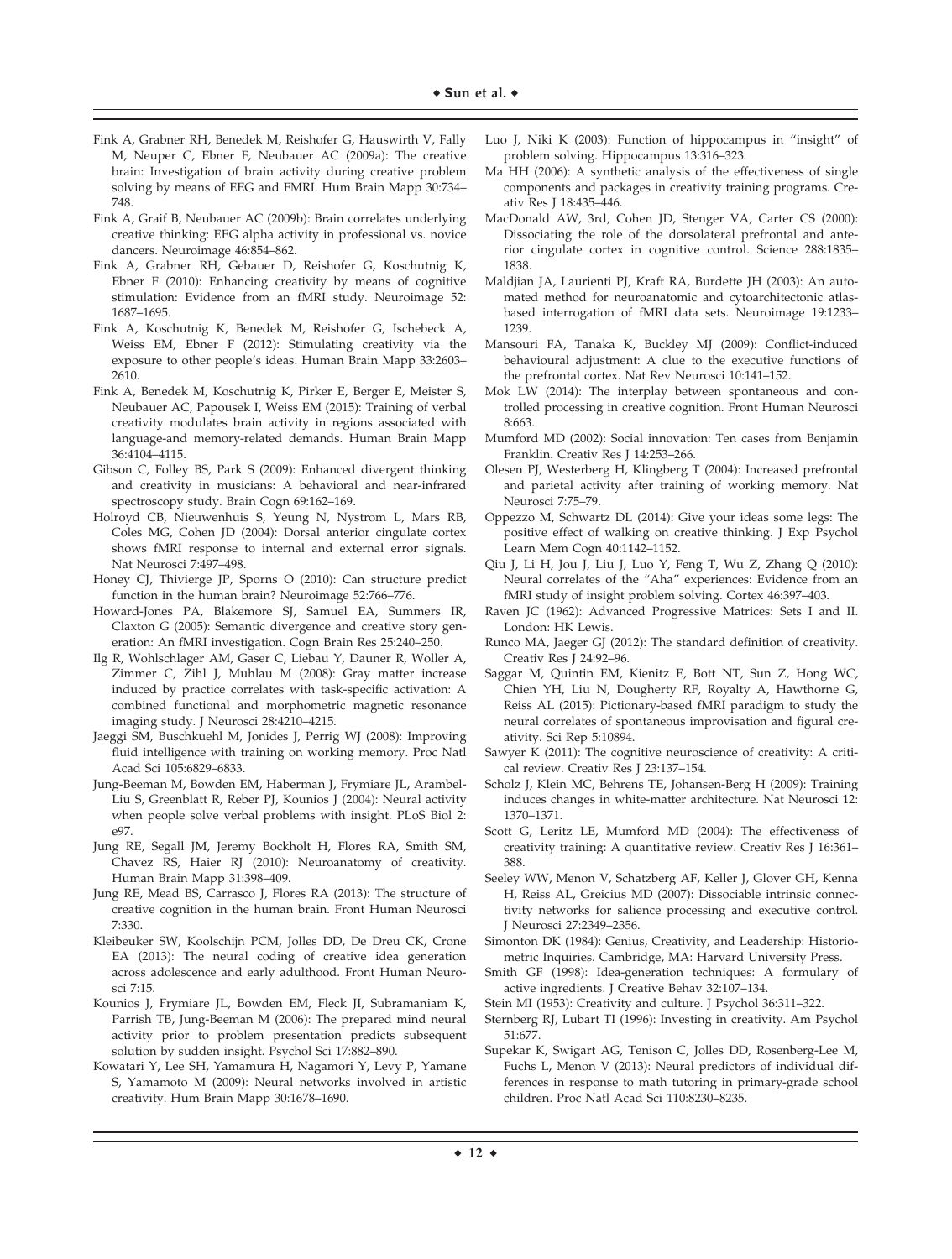- Fink A, Grabner RH, Benedek M, Reishofer G, Hauswirth V, Fally M, Neuper C, Ebner F, Neubauer AC (2009a): The creative brain: Investigation of brain activity during creative problem solving by means of EEG and FMRI. Hum Brain Mapp 30:734– 748.
- Fink A, Graif B, Neubauer AC (2009b): Brain correlates underlying creative thinking: EEG alpha activity in professional vs. novice dancers. Neuroimage 46:854–862.
- Fink A, Grabner RH, Gebauer D, Reishofer G, Koschutnig K, Ebner F (2010): Enhancing creativity by means of cognitive stimulation: Evidence from an fMRI study. Neuroimage 52: 1687–1695.
- Fink A, Koschutnig K, Benedek M, Reishofer G, Ischebeck A, Weiss EM, Ebner F (2012): Stimulating creativity via the exposure to other people's ideas. Human Brain Mapp 33:2603– 2610.
- Fink A, Benedek M, Koschutnig K, Pirker E, Berger E, Meister S, Neubauer AC, Papousek I, Weiss EM (2015): Training of verbal creativity modulates brain activity in regions associated with language-and memory-related demands. Human Brain Mapp 36:4104–4115.
- Gibson C, Folley BS, Park S (2009): Enhanced divergent thinking and creativity in musicians: A behavioral and near-infrared spectroscopy study. Brain Cogn 69:162–169.
- Holroyd CB, Nieuwenhuis S, Yeung N, Nystrom L, Mars RB, Coles MG, Cohen JD (2004): Dorsal anterior cingulate cortex shows fMRI response to internal and external error signals. Nat Neurosci 7:497–498.
- Honey CJ, Thivierge JP, Sporns O (2010): Can structure predict function in the human brain? Neuroimage 52:766–776.
- Howard-Jones PA, Blakemore SJ, Samuel EA, Summers IR, Claxton G (2005): Semantic divergence and creative story generation: An fMRI investigation. Cogn Brain Res 25:240–250.
- Ilg R, Wohlschlager AM, Gaser C, Liebau Y, Dauner R, Woller A, Zimmer C, Zihl J, Muhlau M (2008): Gray matter increase induced by practice correlates with task-specific activation: A combined functional and morphometric magnetic resonance imaging study. J Neurosci 28:4210–4215.
- Jaeggi SM, Buschkuehl M, Jonides J, Perrig WJ (2008): Improving fluid intelligence with training on working memory. Proc Natl Acad Sci 105:6829–6833.
- Jung-Beeman M, Bowden EM, Haberman J, Frymiare JL, Arambel-Liu S, Greenblatt R, Reber PJ, Kounios J (2004): Neural activity when people solve verbal problems with insight. PLoS Biol 2: e97.
- Jung RE, Segall JM, Jeremy Bockholt H, Flores RA, Smith SM, Chavez RS, Haier RJ (2010): Neuroanatomy of creativity. Human Brain Mapp 31:398–409.
- Jung RE, Mead BS, Carrasco J, Flores RA (2013): The structure of creative cognition in the human brain. Front Human Neurosci 7:330.
- Kleibeuker SW, Koolschijn PCM, Jolles DD, De Dreu CK, Crone EA (2013): The neural coding of creative idea generation across adolescence and early adulthood. Front Human Neurosci 7:15.
- Kounios J, Frymiare JL, Bowden EM, Fleck JI, Subramaniam K, Parrish TB, Jung-Beeman M (2006): The prepared mind neural activity prior to problem presentation predicts subsequent solution by sudden insight. Psychol Sci 17:882–890.
- Kowatari Y, Lee SH, Yamamura H, Nagamori Y, Levy P, Yamane S, Yamamoto M (2009): Neural networks involved in artistic creativity. Hum Brain Mapp 30:1678–1690.
- Luo J, Niki K (2003): Function of hippocampus in "insight" of problem solving. Hippocampus 13:316–323.
- Ma HH (2006): A synthetic analysis of the effectiveness of single components and packages in creativity training programs. Creativ Res J 18:435–446.
- MacDonald AW, 3rd, Cohen JD, Stenger VA, Carter CS (2000): Dissociating the role of the dorsolateral prefrontal and anterior cingulate cortex in cognitive control. Science 288:1835– 1838.
- Maldjian JA, Laurienti PJ, Kraft RA, Burdette JH (2003): An automated method for neuroanatomic and cytoarchitectonic atlasbased interrogation of fMRI data sets. Neuroimage 19:1233– 1239.
- Mansouri FA, Tanaka K, Buckley MJ (2009): Conflict-induced behavioural adjustment: A clue to the executive functions of the prefrontal cortex. Nat Rev Neurosci 10:141–152.
- Mok LW (2014): The interplay between spontaneous and controlled processing in creative cognition. Front Human Neurosci 8:663.
- Mumford MD (2002): Social innovation: Ten cases from Benjamin Franklin. Creativ Res J 14:253–266.
- Olesen PJ, Westerberg H, Klingberg T (2004): Increased prefrontal and parietal activity after training of working memory. Nat Neurosci 7:75–79.
- Oppezzo M, Schwartz DL (2014): Give your ideas some legs: The positive effect of walking on creative thinking. J Exp Psychol Learn Mem Cogn 40:1142–1152.
- Qiu J, Li H, Jou J, Liu J, Luo Y, Feng T, Wu Z, Zhang Q (2010): Neural correlates of the "Aha" experiences: Evidence from an fMRI study of insight problem solving. Cortex 46:397–403.
- Raven JC (1962): Advanced Progressive Matrices: Sets I and II. London: HK Lewis.
- Runco MA, Jaeger GJ (2012): The standard definition of creativity. Creativ Res J 24:92–96.
- Saggar M, Quintin EM, Kienitz E, Bott NT, Sun Z, Hong WC, Chien YH, Liu N, Dougherty RF, Royalty A, Hawthorne G, Reiss AL (2015): Pictionary-based fMRI paradigm to study the neural correlates of spontaneous improvisation and figural creativity. Sci Rep 5:10894.
- Sawyer K (2011): The cognitive neuroscience of creativity: A critical review. Creativ Res J 23:137–154.
- Scholz J, Klein MC, Behrens TE, Johansen-Berg H (2009): Training induces changes in white-matter architecture. Nat Neurosci 12: 1370–1371.
- Scott G, Leritz LE, Mumford MD (2004): The effectiveness of creativity training: A quantitative review. Creativ Res J 16:361– 388.
- Seeley WW, Menon V, Schatzberg AF, Keller J, Glover GH, Kenna H, Reiss AL, Greicius MD (2007): Dissociable intrinsic connectivity networks for salience processing and executive control. J Neurosci 27:2349–2356.
- Simonton DK (1984): Genius, Creativity, and Leadership: Historiometric Inquiries. Cambridge, MA: Harvard University Press.
- Smith GF (1998): Idea-generation techniques: A formulary of active ingredients. J Creative Behav 32:107–134.
- Stein MI (1953): Creativity and culture. J Psychol 36:311–322.
- Sternberg RJ, Lubart TI (1996): Investing in creativity. Am Psychol 51:677.
- Supekar K, Swigart AG, Tenison C, Jolles DD, Rosenberg-Lee M, Fuchs L, Menon V (2013): Neural predictors of individual differences in response to math tutoring in primary-grade school children. Proc Natl Acad Sci 110:8230–8235.